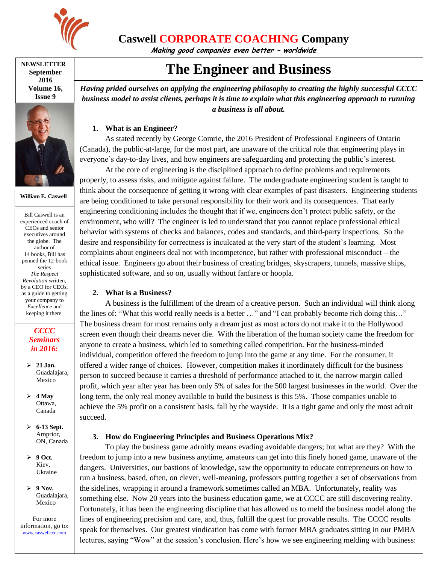

## **Caswell CORPORATE COACHING Company**

**Making good companies even better – worldwide**

#### **NEWSLETTER September 2016 Volume 16, Issue 9**



**William E. Caswell**

Bill Caswell is an experienced coach of CEOs and senior executives around the globe. The author of 14 books, Bill has penned the 12-book series *The Respect Revolution* written, by a CEO for CEOs, as a guide to getting your company to *Excellence* and keeping it there.

### *CCCC Seminars in 2016:*

- **21 Jan.** Guadalajara, Mexico
- $\geq 4$  May Ottawa, Canada
- **6-13 Sept.** Arnprior, ON, Canada
- **9 Oct.** Kiev, Ukraine
- **9 Nov.** Guadalajara, Mexico

For more information, go to: [www.caswellccc.com](http://www.caswellccc.com/)

# **The Engineer and Business**

*Having prided ourselves on applying the engineering philosophy to creating the highly successful CCCC business model to assist clients, perhaps it is time to explain what this engineering approach to running a business is all about.*

### **1. What is an Engineer?**

As stated recently by George Comrie, the 2016 President of Professional Engineers of Ontario (Canada), the public-at-large, for the most part, are unaware of the critical role that engineering plays in everyone's day-to-day lives, and how engineers are safeguarding and protecting the public's interest.

At the core of engineering is the disciplined approach to define problems and requirements properly, to assess risks, and mitigate against failure. The undergraduate engineering student is taught to think about the consequence of getting it wrong with clear examples of past disasters. Engineering students are being conditioned to take personal responsibility for their work and its consequences. That early engineering conditioning includes the thought that if we, engineers don't protect public safety, or the environment, who will? The engineer is led to understand that you cannot replace professional ethical behavior with systems of checks and balances, codes and standards, and third-party inspections. So the desire and responsibility for correctness is inculcated at the very start of the student's learning. Most complaints about engineers deal not with incompetence, but rather with professional misconduct – the ethical issue. Engineers go about their business of creating bridges, skyscrapers, tunnels, massive ships, sophisticated software, and so on, usually without fanfare or hoopla.

### **2. What is a Business?**

A business is the fulfillment of the dream of a creative person. Such an individual will think along the lines of: "What this world really needs is a better …" and "I can probably become rich doing this…" The business dream for most remains only a dream just as most actors do not make it to the Hollywood screen even though their dreams never die. With the liberation of the human society came the freedom for anyone to create a business, which led to something called competition. For the business-minded individual, competition offered the freedom to jump into the game at any time. For the consumer, it offered a wider range of choices. However, competition makes it inordinately difficult for the business person to succeed because it carries a threshold of performance attached to it, the narrow margin called profit, which year after year has been only 5% of sales for the 500 largest businesses in the world. Over the long term, the only real money available to build the business is this 5%. Those companies unable to achieve the 5% profit on a consistent basis, fall by the wayside. It is a tight game and only the most adroit succeed.

### **3. How do Engineering Principles and Business Operations Mix?**

To play the business game adroitly means evading avoidable dangers; but what are they? With the freedom to jump into a new business anytime, amateurs can get into this finely honed game, unaware of the dangers. Universities, our bastions of knowledge, saw the opportunity to educate entrepreneurs on how to run a business, based, often, on clever, well-meaning, professors putting together a set of observations from the sidelines, wrapping it around a framework sometimes called an MBA. Unfortunately, reality was something else. Now 20 years into the business education game, we at CCCC are still discovering reality. Fortunately, it has been the engineering discipline that has allowed us to meld the business model along the lines of engineering precision and care, and, thus, fulfill the quest for provable results. The CCCC results speak for themselves. Our greatest vindication has come with former MBA graduates sitting in our PMBA lectures, saying "Wow" at the session's conclusion. Here's how we see engineering melding with business: